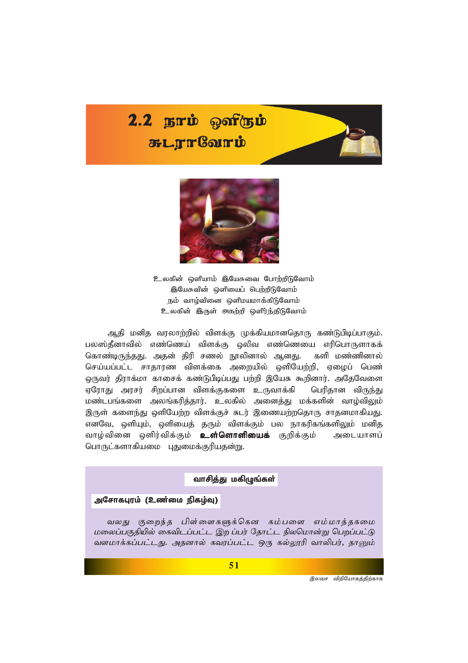# 2.2 நாம் ஒளிரும் **FLTTCorvi**



உலகின் ஒளியாம் இயேசுவை போற்றிடுவோம் இயேசுவின் ஒளியைப் பெற்றிடுவோம் நம் வாழ்வினை ஒளிமயமாக்கிடுவோம் உலகின் இருள் அகற்றி ஒளிர்ந்திடுவோம்

ஆதி மனித வரலாற்றில் விளக்கு முக்கியமானதொரு கண்டுபிடிப்பாகும். பலஸ்தீனாவில் எண்ணெய் விளக்கு ஒலிவ எண்ணெயை எரிபொருளாகக் கொண்டிருந்தது. அதன் திரி சணல் நூலினால் ஆனது. களி மண்ணினால் செய்யப்பட்ட சாதாரண விளக்கை அறையில் ஒளியேற்றி, ஏழைப் பெண் ஒருவர் திராக்மா காசைக் கண்டுபிடிப்பது பற்றி இயேசு கூறினார். அதேவேளை ஏரோது அரசர் சிறப்பான விளக்குகளை உருவாக்கி பெரிதான விருந்து மண்டபங்களை அலங்கரித்தார். உலகில் அனைத்து மக்களின் வாழ்விலும் இருள் களைந்து ஒளியேற்ற விளக்குச் சுடர் இணையற்றதொரு சாதனமாகியது. எனவே, ஒளியும், ஒளியைத் தரும் விளக்கும் பல நாகரிகங்களிலும் மனித வாழ்வினை ஒளிர்விக்கும் **உள்ளொளியைக்** குறிக்கும் அடையாளப் பொருட்களாகியமை புதுமைக்குரியதன்று.

# வாசித்து மகிழுங்கள்

#### அசோகபுரம் (உண்மை நிகழ்வு)

வலது குறைந்த பிள்ளைகளுக்கென கம்பளை எம்மாக்ககமை மலைப்பகுதியில் கைவிடப்பட்ட இற ப்பர் தோட்ட நிலமொன்று பெறப்பட்டு வளமாக்கப்பட்டது. அதனால் கவரப்பட்ட ஒரு கல்லூரி வாலிபர், தானும்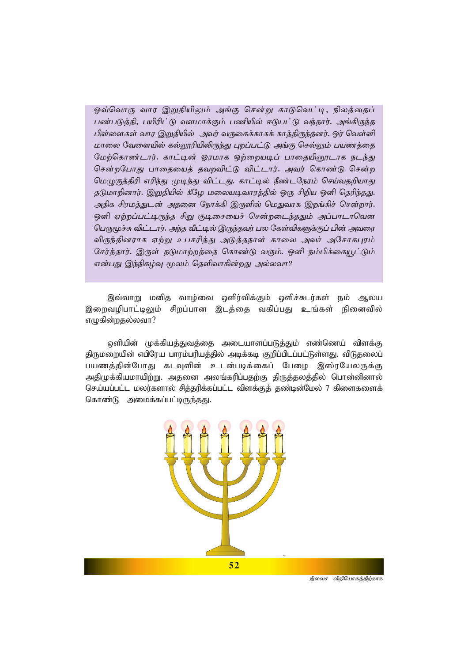ஒவ்வொரு வார இறுதியிலும் அங்கு சென்று காடுவெட்டி, நிலத்தைப் பண்படுத்தி, பயிரிட்டு வளமாக்கும் பணியில் ஈடுபட்டு வந்தார். அங்கிருந்த பிள்ளைகள் வார இறுதியில் அவர் வருகைக்காகக் காத்திருந்தனர். ஓர் வெள்ளி மாலை வேளையில் கல்லூரியிலிருந்து புறப்பட்டு அங்கு செல்லும் பயணத்தை மேற்கொண்டார். காட்டின் ஓரமாக ஒற்றையடிப் பாதையினூடாக நடந்து சென்றபோது பாதையைத் தவறவிட்டு விட்டார். அவர் கொண்டு சென்ற மெழுகுத்திரி எரிந்து முடிந்து விட்டது. காட்டில் நீண்டநேரம் செய்வதறியாது தடுமாறினார். இறுதியில் கீழே மலையடிவாரத்தில் ஒரு சிறிய ஒளி தெரிந்தது. அதிக சிரமத்துடன் அதனை நோக்கி இருளில் மெதுவாக இறங்கிச் சென்றார். ஒளி ஏற்றப்பட்டிருந்த சிறு குடிசையைச் சென்றடைந்ததும் அப்பாடாவென *ngU%r;R tpl;lhu;. me;j tPl;by; ,Ue;jtu; gy Nfs;tpfSf;Fg; gpd; mtiu* விருந்தினராக ஏற்று உபசரித்து அடுத்தநாள் காலை அவர் அசோகபுரம் சேர்த்தார். இருள் தடுமாற்றத்தை கொண்டு வரும். ஒளி நம்பிக்கை<u>யூ</u>ட்டும் என்பது இந்நிகழ்வு மூலம் தெளிவாகின்றது *அ*ல்லவா?

இவ்வாறு மனித வாழ்வை ஒளிர்விக்கும் ஒளிச்சுடர்கள் நம் ஆலய இறைவழிபாட்டிலும் சிறப்பான இடத்தை வகிப்பது உங்கள் நினைவில் எழுகின்றதல்லவா?

ஒளியின் முக்கியத்துவத்தை அடையாளப்படுத்தும் எண்ணெய் விளக்கு திருமறையின் எபிரேய பாரம்பரியத்தில் அடிக்கடி குறிப்பிடப்பட்டுள்ளது. விடுதலைப் பயணத்தின்போது கடவுளின் உடன்படிக்கைப் பேழை இஸ்ரயேலருக்கு அதிமுக்கியமாயிற்று. அதனை அலங்கரிப்பதற்கு திருத்தலத்தில் பொன்னினால் செய்யப்பட்ட மலர்களால் சித்தரிக்கப்பட்ட விளக்குத் தண்டின்மேல் 7 கிளைகளைக் கொண்டு அமைக்கப்பட்டிருந்தது.

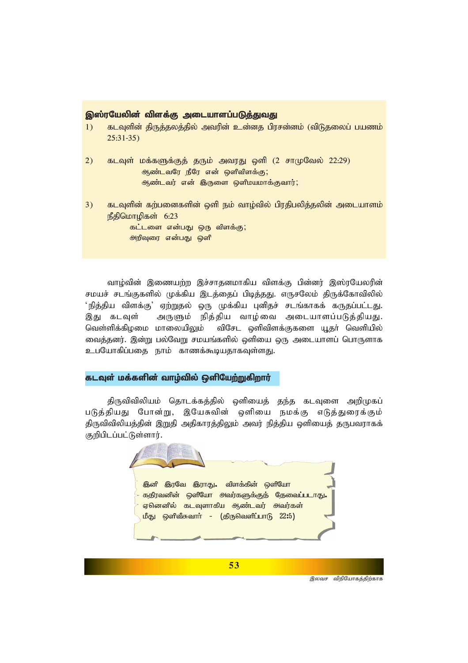#### இஸ்ரயேலின் விளக்கு அடையாளப்படுத்துவது

- கடவுளின் திருத்தலத்தில் அவரின் உன்னத பிரசன்னம் (விடுதலைப் பயணம்  $1)$  $25:31-35$
- $2)$ கடவுள் மக்களுக்குத் தரும் அவரது ஒளி (2 சாமுவேல் 22:29) ஆண்டவரே நீரே என் ஒளிவிளக்கு; ஆண்டவர் என் இருளை ஒளிமயமாக்குவார்;
- $3)$ கடவுளின் கற்பனைகளின் ஒளி நம் வாழ்வில் பிரதிபலித்தலின் அடையாளம் நீதிமொழிகள் 6:23 கட்டளை என்பது ஒரு விளக்கு; அறிவுரை என்பது ஒளி

வாழ்வின் இணையற்ற இச்சாதனமாகிய விளக்கு பின்னர் இஸ்ரயேலரின் சமயச் சடங்குகளில் முக்கிய இடத்தைப் பிடித்தது. எருசலேம் திருக்கோவிலில் 'நித்திய விளக்கு' ஏற்றுதல் ஒரு முக்கிய புனிதச் சடங்காகக் கருதப்பட்டது. அருளும் நித்திய வாழ்வை அடையாளப்படுத்தியது. இது கடவுள் வெள்ளிக்கிழமை மாலையிலும் விசேட ஒளிவிளக்குகளை யூதா் வெளியில் வைத்தனர். இன்று பல்வேறு சமயங்களில் ஒளியை ஒரு அடையாளப் பொருளாக உபயோகிப்பதை நாம் காணக்கூடியதாகவுள்ளது.

### கடவுள் மக்களின் வாழ்வில் ஒளியேற்றுகிறார்

திருவிவிலியம் தொடக்கத்தில் ஒளியைத் தந்த கடவுளை அறிமுகப் படுத்தியது போன்று, இயேசுவின் ஒளியை நமக்கு எடுத்துரைக்கும் திருவிவிலியத்தின் இறுதி அதிகாரத்திலும் அவர் நித்திய ஒளியைத் தருபவராகக் குறிபிடப்பட்டுள்ளார்.



53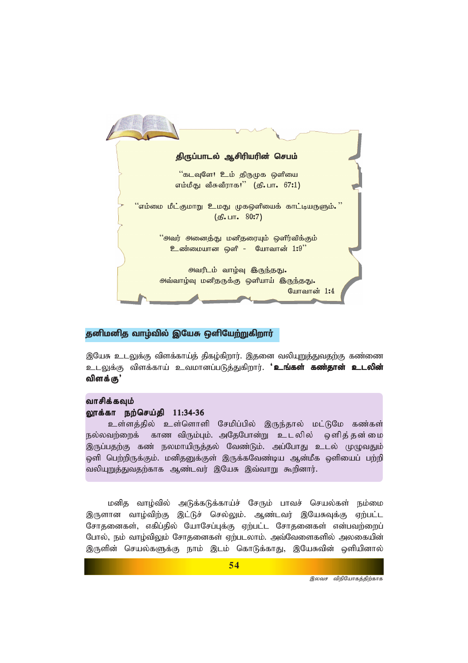

### தனிமனித வாம்வில் இயேசு ஒளியேற்றுகிறார்

,இயேசு உடலுக்கு விளக்காய்த் திகழ்கிறார். இதனை வலியுறுத்துவதற்கு கண்ணை உடலுக்கு விளக்காய் உவமானப்படுத்துகிறார். **'உங்கள் கண்தான் உடலின் விளக்கு**'

#### வாசிக்கவும்

## லூக்கா நற்செய்தி **11:34-36**

உள்ளத்தில் உள்ளொளி சேமிப்பில் இருந்தால் மட்டுமே கண்கள் நல்லவற்றைக் காண விரும்பும். அதேபோன்று உடலில் ஒளித்தன்மை இருப்பதற்கு கண் நலமாயிருத்தல் வேண்டும். அப்போது உடல் முழுவதும் ஒளி பெற்றிருக்கும். மனிதனுக்குள் இருக்கவேண்டிய ஆன்மீக ஒளியைப் பற்றி வலியுறுத்துவதற்காக ஆண்டவர் இயேசு இவ்வாறு கூறினார்.

மனித வாழ்வில் அடுக்கடுக்காய்ச் சேரும் பாவச் செயல்கள் நம்மை இருளான வாழ்விற்கு இட்டுச் செல்லும். ஆண்டவர் இயேசுவுக்கு ஏற்பட்ட *Nrhjidfs;> vfpg;jpy; NahNrg;Gf;F Vw;gl;l Nrhjidfs; vd;gtw;iwg; Nghy;> ek; tho;tpYk; Nrhjidfs; Vw;glyhk;. mt;Ntisfspy; myifapd;* இருளின் செயல்களுக்கு நாம் இடம் கொடுக்காது, இயேசுவின் ஒளியினால்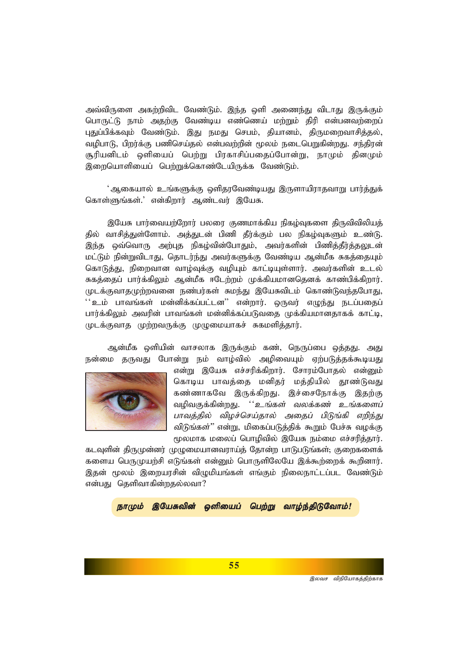அவ்விருளை அகற்றிவிட வேண்டும். இந்த ஒளி அணைந்து விடாது இருக்கும் பொருட்டு நாம் அதற்கு வேண்டிய எண்ணெய் மற்றும் திரி என்பனவற்றைப் புதுப்பிக்கவும் வேண்டும். இது நமது செபம், தியானம், திருமறைவாசித்தல், வழிபாடு, பிறர்க்கு பணிசெய்தல் என்பவற்றின் மூலம் நடைபெறுகின்றது. சந்திரன் சூரியனிடம் ஒளியைப் பெற்று பிரகாசிப்பதைப்போன்று, நாமும் தினமும் இறையொளியைப் பெற்றுக்கொண்டேயிருக்க வேண்டும்.

்ஆகையால் உங்களுக்கு ஒளிதரவேண்டியது இருளாயிராதவாறு பார்த்துக் கொள்ளுங்கள்.' என்கிறார் ஆண்டவர் இயேசு.

இயேசு பார்வையற்றோர் பலரை குணமாக்கிய நிகம்வகளை கிருவிவிலியக் தில் வாசித்துள்ளோம். அத்துடன் பிணி தீர்க்கும் பல நிகழ்வுகளும் உண்டு. இந்த ஒவ்வொரு அற்புத நிகழ்வின்போதும், அவர்களின் பிணித்தீர்த்தலுடன் மட்டும் நின்றுவிடாது, தொடர்ந்து அவர்களுக்கு வேண்டிய ஆன்மீக சுகத்தையும் கொடுத்து, நிறைவான வாழ்வுக்கு வழியும் காட்டியுள்ளார். அவர்களின் உடல் சுகத்தைப் பார்க்கிலும் ஆன்மீக ஈடேற்றம் முக்கியமானதெனக் காண்பிக்கிறார். முடக்குவாதமுற்றவனை நண்பர்கள் சுமந்து இயேசுவிடம் கொண்டுவந்தபோது, ''உம் பாவங்கள் மன்னிக்கப்பட்டன'' என்றார். ஒருவர் எழுந்து நடப்பதைப் பார்க்கிலும் அவரின் பாவங்கள் மன்னிக்கப்படுவதை முக்கியமானதாகக் காட்டி, முடக்குவாத முற்றவருக்கு முழுமையாகச் சுகமளித்தார்.

ஆன்மீக ஒளியின் வாசலாக இருக்கும் கண், நெருப்பை ஒத்தது. அது நன்மை தருவது போன்று நம் வாழ்வில் அழிவையும் ஏற்படுத்தக்கூடியது



என்று இயேசு எச்சரிக்கிறார். சோரம்போதல் என்னும் கொடிய பாவத்தை மனிதர் மத்தியில் தூண்டுவது கண்ணாகவே இருக்கிறது. இச்சைநோக்கு இதற்கு வழிவகுக்கின்றது. ''*உங்கள் வலக்கண் உங்களைப்* பாவத்தில் விழச்செய்தால் அதைப் பிடுங்கி எறிந்து *விடுங்கள்*" என்று, மிகைப்படுத்திக் கூறும் பேச்சு வழக்கு மூலமாக மலைப் பொழிவில் இயேசு நம்மை எச்சரித்தார்.

கடவுளின் திருமுன்னர் முழுமையானவராய்த் தோன்ற பாடுபடுங்கள், குறைகளைக் களைய பெருமுயற்சி எடுங்கள் என்னும் பொருளிலேயே இக்கூற்றைக் கூறினார். இதன் மூலம் இறையாசின் விமுமியங்கள் எங்கும் நிலைநாட்டப்பட வேண்டும் என்பது தெளிவாகின்றதல்லவா?

நாமும் இயேசுவின் ஒளியைப் பெற்று வாழ்ந்திடுவோம்!